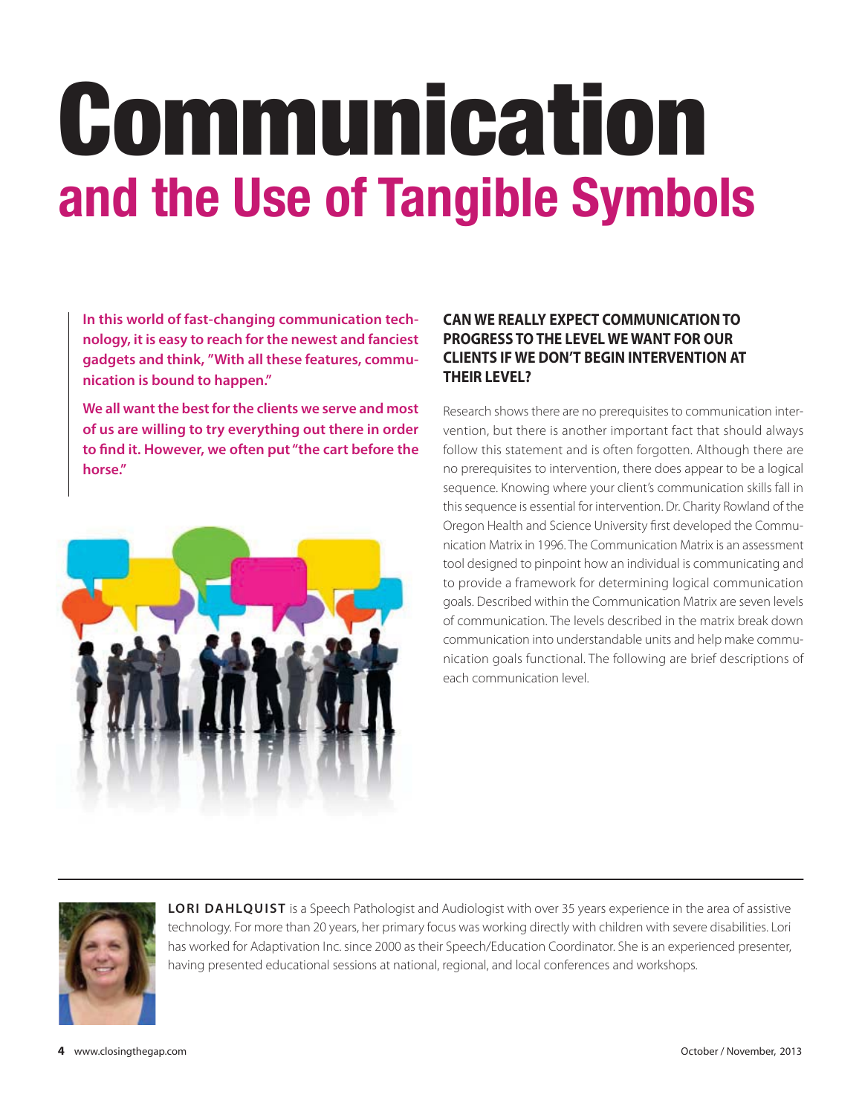# Communication **and the Use of Tangible Symbols**

**In this world of fast-changing communication technology, it is easy to reach for the newest and fanciest gadgets and think, "With all these features, communication is bound to happen."** 

**We all want the best for the clients we serve and most of us are willing to try everything out there in order to find it. However, we often put "the cart before the horse."** 



## **CAN WE REALLY EXPECT COMMUNICATION TO PROGRESS TO THE LEVEL WE WANT FOR OUR CLIENTS IF WE DON'T BEGIN INTERVENTION AT THEIR LEVEL?**

Research shows there are no prerequisites to communication intervention, but there is another important fact that should always follow this statement and is often forgotten. Although there are no prerequisites to intervention, there does appear to be a logical sequence. Knowing where your client's communication skills fall in this sequence is essential for intervention. Dr. Charity Rowland of the Oregon Health and Science University first developed the Communication Matrix in 1996. The Communication Matrix is an assessment tool designed to pinpoint how an individual is communicating and to provide a framework for determining logical communication goals. Described within the Communication Matrix are seven levels of communication. The levels described in the matrix break down communication into understandable units and help make communication goals functional. The following are brief descriptions of each communication level.



**LORI DAHLQUIST** is a Speech Pathologist and Audiologist with over 35 years experience in the area of assistive technology. For more than 20 years, her primary focus was working directly with children with severe disabilities. Lori has worked for Adaptivation Inc. since 2000 as their Speech/Education Coordinator. She is an experienced presenter, having presented educational sessions at national, regional, and local conferences and workshops.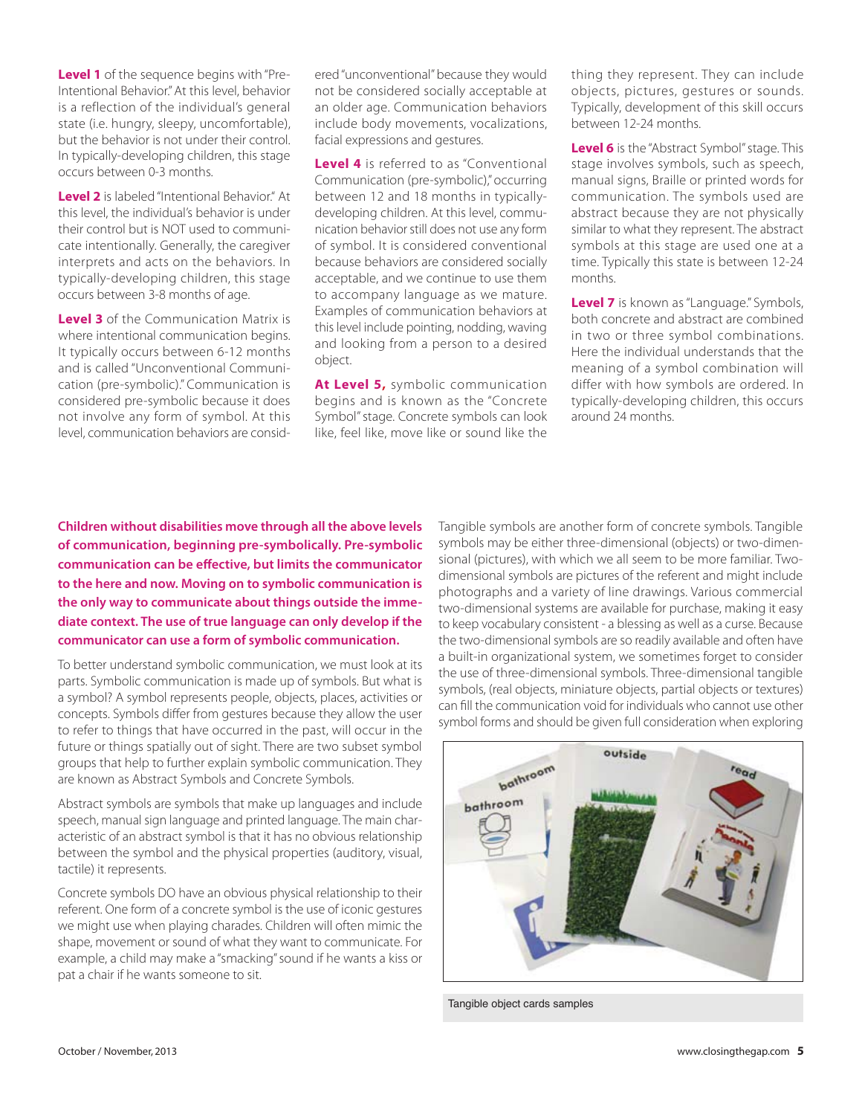**Level 1** of the sequence begins with "Pre-Intentional Behavior." At this level, behavior is a reflection of the individual's general state (i.e. hungry, sleepy, uncomfortable), but the behavior is not under their control. In typically-developing children, this stage occurs between 0-3 months.

**Level 2** is labeled "Intentional Behavior." At this level, the individual's behavior is under their control but is NOT used to communicate intentionally. Generally, the caregiver interprets and acts on the behaviors. In typically-developing children, this stage occurs between 3-8 months of age.

**Level 3** of the Communication Matrix is where intentional communication begins. It typically occurs between 6-12 months and is called "Unconventional Communication (pre-symbolic)." Communication is considered pre-symbolic because it does not involve any form of symbol. At this level, communication behaviors are considered "unconventional" because they would not be considered socially acceptable at an older age. Communication behaviors include body movements, vocalizations, facial expressions and gestures.

**Level 4** is referred to as "Conventional Communication (pre-symbolic)," occurring between 12 and 18 months in typicallydeveloping children. At this level, communication behavior still does not use any form of symbol. It is considered conventional because behaviors are considered socially acceptable, and we continue to use them to accompany language as we mature. Examples of communication behaviors at this level include pointing, nodding, waving and looking from a person to a desired object.

**At Level 5,** symbolic communication begins and is known as the "Concrete Symbol" stage. Concrete symbols can look like, feel like, move like or sound like the thing they represent. They can include objects, pictures, gestures or sounds. Typically, development of this skill occurs between 12-24 months.

**Level 6** is the "Abstract Symbol" stage. This stage involves symbols, such as speech, manual signs, Braille or printed words for communication. The symbols used are abstract because they are not physically similar to what they represent. The abstract symbols at this stage are used one at a time. Typically this state is between 12-24 months.

**Level 7** is known as "Language." Symbols, both concrete and abstract are combined in two or three symbol combinations. Here the individual understands that the meaning of a symbol combination will differ with how symbols are ordered. In typically-developing children, this occurs around 24 months.

**Children without disabilities move through all the above levels of communication, beginning pre-symbolically. Pre-symbolic communication can be effective, but limits the communicator to the here and now. Moving on to symbolic communication is the only way to communicate about things outside the immediate context. The use of true language can only develop if the communicator can use a form of symbolic communication.** 

To better understand symbolic communication, we must look at its parts. Symbolic communication is made up of symbols. But what is a symbol? A symbol represents people, objects, places, activities or concepts. Symbols differ from gestures because they allow the user to refer to things that have occurred in the past, will occur in the future or things spatially out of sight. There are two subset symbol groups that help to further explain symbolic communication. They are known as Abstract Symbols and Concrete Symbols.

Abstract symbols are symbols that make up languages and include speech, manual sign language and printed language. The main characteristic of an abstract symbol is that it has no obvious relationship between the symbol and the physical properties (auditory, visual, tactile) it represents.

Concrete symbols DO have an obvious physical relationship to their referent. One form of a concrete symbol is the use of iconic gestures we might use when playing charades. Children will often mimic the shape, movement or sound of what they want to communicate. For example, a child may make a "smacking" sound if he wants a kiss or pat a chair if he wants someone to sit.

Tangible symbols are another form of concrete symbols. Tangible symbols may be either three-dimensional (objects) or two-dimensional (pictures), with which we all seem to be more familiar. Twodimensional symbols are pictures of the referent and might include photographs and a variety of line drawings. Various commercial two-dimensional systems are available for purchase, making it easy to keep vocabulary consistent - a blessing as well as a curse. Because the two-dimensional symbols are so readily available and often have a built-in organizational system, we sometimes forget to consider the use of three-dimensional symbols. Three-dimensional tangible symbols, (real objects, miniature objects, partial objects or textures) can fill the communication void for individuals who cannot use other symbol forms and should be given full consideration when exploring



Tangible object cards samples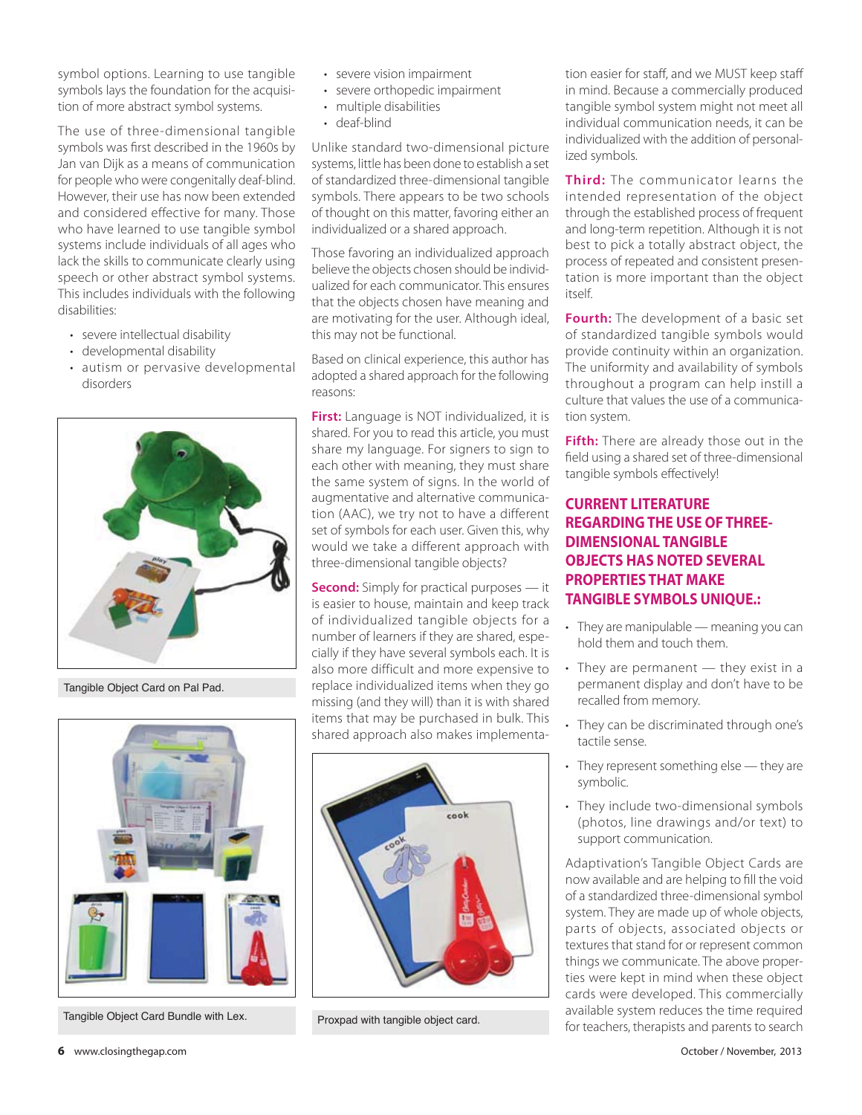symbol options. Learning to use tangible symbols lays the foundation for the acquisition of more abstract symbol systems.

The use of three-dimensional tangible symbols was first described in the 1960s by Jan van Dijk as a means of communication for people who were congenitally deaf-blind. However, their use has now been extended and considered effective for many. Those who have learned to use tangible symbol systems include individuals of all ages who lack the skills to communicate clearly using speech or other abstract symbol systems. This includes individuals with the following disabilities:

- severe intellectual disability
- developmental disability
- autism or pervasive developmental disorders



Tangible Object Card on Pal Pad.



Tangible Object Card Bundle with Lex. Proxpad with tangible object card.

- severe vision impairment
- severe orthopedic impairment
- multiple disabilities
- deaf-blind

Unlike standard two-dimensional picture systems, little has been done to establish a set of standardized three-dimensional tangible symbols. There appears to be two schools of thought on this matter, favoring either an individualized or a shared approach.

Those favoring an individualized approach believe the objects chosen should be individualized for each communicator. This ensures that the objects chosen have meaning and are motivating for the user. Although ideal, this may not be functional.

Based on clinical experience, this author has adopted a shared approach for the following reasons:

**First:** Language is NOT individualized, it is shared. For you to read this article, you must share my language. For signers to sign to each other with meaning, they must share the same system of signs. In the world of augmentative and alternative communication (AAC), we try not to have a different set of symbols for each user. Given this, why would we take a different approach with three-dimensional tangible objects?

**Second:** Simply for practical purposes — it is easier to house, maintain and keep track of individualized tangible objects for a number of learners if they are shared, especially if they have several symbols each. It is also more difficult and more expensive to replace individualized items when they go missing (and they will) than it is with shared items that may be purchased in bulk. This shared approach also makes implementa-



tion easier for staff, and we MUST keep staff in mind. Because a commercially produced tangible symbol system might not meet all individual communication needs, it can be individualized with the addition of personalized symbols.

**Third:** The communicator learns the intended representation of the object through the established process of frequent and long-term repetition. Although it is not best to pick a totally abstract object, the process of repeated and consistent presentation is more important than the object itself.

**Fourth:** The development of a basic set of standardized tangible symbols would provide continuity within an organization. The uniformity and availability of symbols throughout a program can help instill a culture that values the use of a communication system.

**Fifth:** There are already those out in the field using a shared set of three-dimensional tangible symbols effectively!

#### **CURRENT LITERATURE REGARDING THE USE OF THREE-DIMENSIONAL TANGIBLE OBJECTS HAS NOTED SEVERAL PROPERTIES THAT MAKE TANGIBLE SYMBOLS UNIQUE.:**

- They are manipulable meaning you can hold them and touch them.
- $\cdot$  They are permanent  $-$  they exist in a permanent display and don't have to be recalled from memory.
- They can be discriminated through one's tactile sense.
- $\cdot$  They represent something else  $-$  they are symbolic.
- They include two-dimensional symbols (photos, line drawings and/or text) to support communication.

Adaptivation's Tangible Object Cards are now available and are helping to fill the void of a standardized three-dimensional symbol system. They are made up of whole objects, parts of objects, associated objects or textures that stand for or represent common things we communicate. The above properties were kept in mind when these object cards were developed. This commercially available system reduces the time required for teachers, therapists and parents to search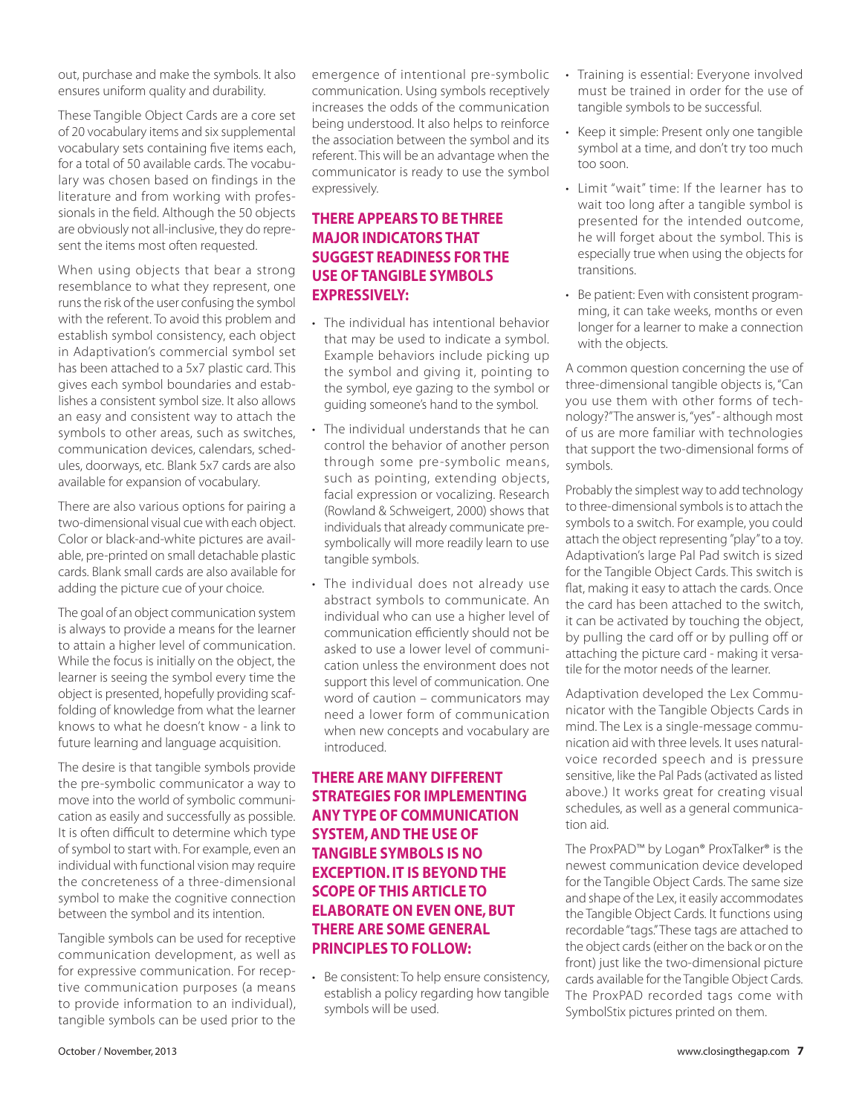out, purchase and make the symbols. It also ensures uniform quality and durability.

These Tangible Object Cards are a core set of 20 vocabulary items and six supplemental vocabulary sets containing five items each, for a total of 50 available cards. The vocabulary was chosen based on findings in the literature and from working with professionals in the field. Although the 50 objects are obviously not all-inclusive, they do represent the items most often requested.

When using objects that bear a strong resemblance to what they represent, one runs the risk of the user confusing the symbol with the referent. To avoid this problem and establish symbol consistency, each object in Adaptivation's commercial symbol set has been attached to a 5x7 plastic card. This gives each symbol boundaries and establishes a consistent symbol size. It also allows an easy and consistent way to attach the symbols to other areas, such as switches, communication devices, calendars, schedules, doorways, etc. Blank 5x7 cards are also available for expansion of vocabulary.

There are also various options for pairing a two-dimensional visual cue with each object. Color or black-and-white pictures are available, pre-printed on small detachable plastic cards. Blank small cards are also available for adding the picture cue of your choice.

The goal of an object communication system is always to provide a means for the learner to attain a higher level of communication. While the focus is initially on the object, the learner is seeing the symbol every time the object is presented, hopefully providing scaffolding of knowledge from what the learner knows to what he doesn't know - a link to future learning and language acquisition.

The desire is that tangible symbols provide the pre-symbolic communicator a way to move into the world of symbolic communication as easily and successfully as possible. It is often difficult to determine which type of symbol to start with. For example, even an individual with functional vision may require the concreteness of a three-dimensional symbol to make the cognitive connection between the symbol and its intention.

Tangible symbols can be used for receptive communication development, as well as for expressive communication. For receptive communication purposes (a means to provide information to an individual), tangible symbols can be used prior to the emergence of intentional pre-symbolic communication. Using symbols receptively increases the odds of the communication being understood. It also helps to reinforce the association between the symbol and its referent. This will be an advantage when the communicator is ready to use the symbol expressively.

## **THERE APPEARS TO BE THREE MAJOR INDICATORS THAT SUGGEST READINESS FOR THE USE OF TANGIBLE SYMBOLS EXPRESSIVELY:**

- The individual has intentional behavior that may be used to indicate a symbol. Example behaviors include picking up the symbol and giving it, pointing to the symbol, eye gazing to the symbol or guiding someone's hand to the symbol.
- The individual understands that he can control the behavior of another person through some pre-symbolic means, such as pointing, extending objects, facial expression or vocalizing. Research (Rowland & Schweigert, 2000) shows that individuals that already communicate presymbolically will more readily learn to use tangible symbols.
- The individual does not already use abstract symbols to communicate. An individual who can use a higher level of communication efficiently should not be asked to use a lower level of communication unless the environment does not support this level of communication. One word of caution – communicators may need a lower form of communication when new concepts and vocabulary are introduced.

## **THERE ARE MANY DIFFERENT STRATEGIES FOR IMPLEMENTING ANY TYPE OF COMMUNICATION SYSTEM, AND THE USE OF TANGIBLE SYMBOLS IS NO EXCEPTION. IT IS BEYOND THE SCOPE OF THIS ARTICLE TO ELABORATE ON EVEN ONE, BUT THERE ARE SOME GENERAL PRINCIPLES TO FOLLOW:**

• Be consistent: To help ensure consistency, establish a policy regarding how tangible symbols will be used.

- Training is essential: Everyone involved must be trained in order for the use of tangible symbols to be successful.
- Keep it simple: Present only one tangible symbol at a time, and don't try too much too soon.
- Limit "wait" time: If the learner has to wait too long after a tangible symbol is presented for the intended outcome, he will forget about the symbol. This is especially true when using the objects for transitions.
- Be patient: Even with consistent programming, it can take weeks, months or even longer for a learner to make a connection with the objects.

A common question concerning the use of three-dimensional tangible objects is, "Can you use them with other forms of technology?" The answer is, "yes" - although most of us are more familiar with technologies that support the two-dimensional forms of symbols.

Probably the simplest way to add technology to three-dimensional symbols is to attach the symbols to a switch. For example, you could attach the object representing "play" to a toy. Adaptivation's large Pal Pad switch is sized for the Tangible Object Cards. This switch is flat, making it easy to attach the cards. Once the card has been attached to the switch, it can be activated by touching the object, by pulling the card off or by pulling off or attaching the picture card - making it versatile for the motor needs of the learner.

Adaptivation developed the Lex Communicator with the Tangible Objects Cards in mind. The Lex is a single-message communication aid with three levels. It uses naturalvoice recorded speech and is pressure sensitive, like the Pal Pads (activated as listed above.) It works great for creating visual schedules, as well as a general communication aid.

The ProxPAD™ by Logan® ProxTalker® is the newest communication device developed for the Tangible Object Cards. The same size and shape of the Lex, it easily accommodates the Tangible Object Cards. It functions using recordable "tags." These tags are attached to the object cards (either on the back or on the front) just like the two-dimensional picture cards available for the Tangible Object Cards. The ProxPAD recorded tags come with SymbolStix pictures printed on them.